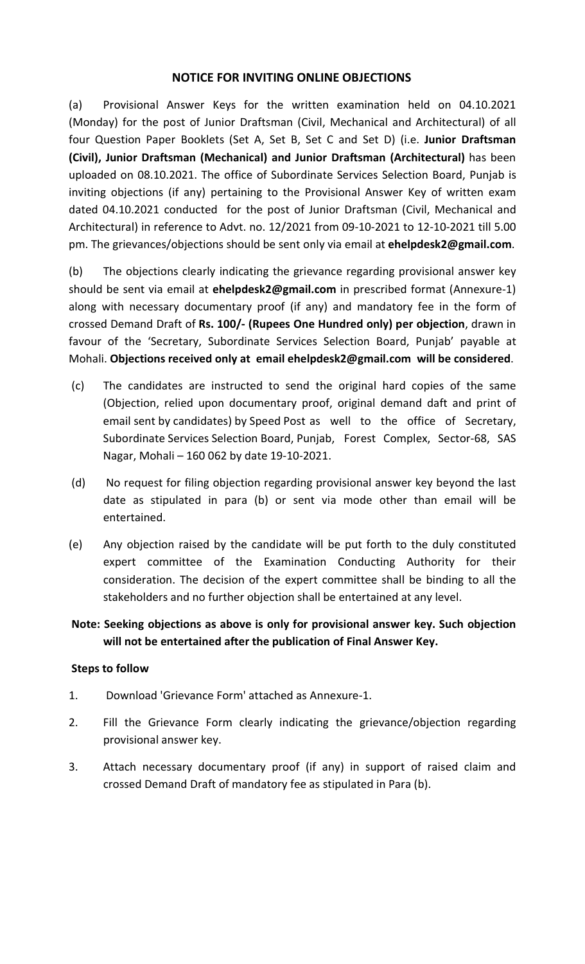#### NOTICE FOR INVITING ONLINE OBJECTIONS

(a) Provisional Answer Keys for the written examination held on 04.10.2021 (Monday) for the post of Junior Draftsman (Civil, Mechanical and Architectural) of all four Question Paper Booklets (Set A, Set B, Set C and Set D) (i.e. Junior Draftsman (Civil), Junior Draftsman (Mechanical) and Junior Draftsman (Architectural) has been uploaded on 08.10.2021. The office of Subordinate Services Selection Board, Punjab is inviting objections (if any) pertaining to the Provisional Answer Key of written exam dated 04.10.2021 conducted for the post of Junior Draftsman (Civil, Mechanical and Architectural) in reference to Advt. no. 12/2021 from 09-10-2021 to 12-10-2021 till 5.00 pm. The grievances/objections should be sent only via email at ehelpdesk2@gmail.com.

(b) The objections clearly indicating the grievance regarding provisional answer key should be sent via email at ehelpdesk2@gmail.com in prescribed format (Annexure-1) along with necessary documentary proof (if any) and mandatory fee in the form of crossed Demand Draft of Rs. 100/- (Rupees One Hundred only) per objection, drawn in favour of the 'Secretary, Subordinate Services Selection Board, Punjab' payable at Mohali. Objections received only at email ehelpdesk2@gmail.com will be considered.

- (c) The candidates are instructed to send the original hard copies of the same (Objection, relied upon documentary proof, original demand daft and print of email sent by candidates) by Speed Post as well to the office of Secretary, Subordinate Services Selection Board, Punjab, Forest Complex, Sector-68, SAS Nagar, Mohali – 160 062 by date 19-10-2021.
- (d) No request for filing objection regarding provisional answer key beyond the last date as stipulated in para (b) or sent via mode other than email will be entertained.
- (e) Any objection raised by the candidate will be put forth to the duly constituted expert committee of the Examination Conducting Authority for their consideration. The decision of the expert committee shall be binding to all the stakeholders and no further objection shall be entertained at any level.

### Note: Seeking objections as above is only for provisional answer key. Such objection will not be entertained after the publication of Final Answer Key.

#### Steps to follow

- 1. Download 'Grievance Form' attached as Annexure-1.
- 2. Fill the Grievance Form clearly indicating the grievance/objection regarding provisional answer key.
- 3. Attach necessary documentary proof (if any) in support of raised claim and crossed Demand Draft of mandatory fee as stipulated in Para (b).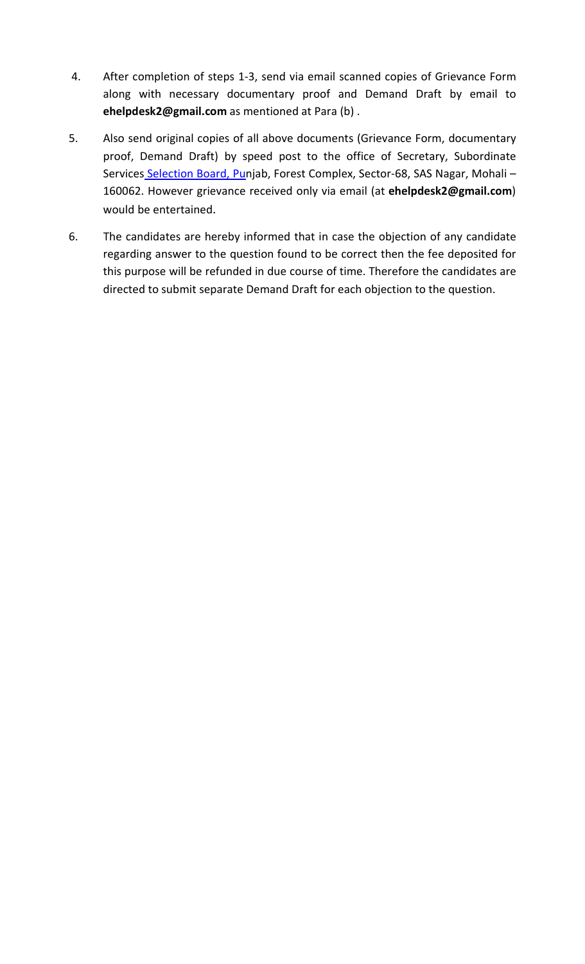- 4. After completion of steps 1-3, send via email scanned copies of Grievance Form along with necessary documentary proof and Demand Draft by email to ehelpdesk2@gmail.com as mentioned at Para (b) .
- 5. Also send original copies of all above documents (Grievance Form, documentary proof, Demand Draft) by speed post to the office of Secretary, Subordinate Services Selection Board, Punjab, Forest Complex, Sector-68, SAS Nagar, Mohali-160062. However grievance received only via email (at ehelpdesk2@gmail.com) would be entertained.
- 6. The candidates are hereby informed that in case the objection of any candidate regarding answer to the question found to be correct then the fee deposited for this purpose will be refunded in due course of time. Therefore the candidates are directed to submit separate Demand Draft for each objection to the question.